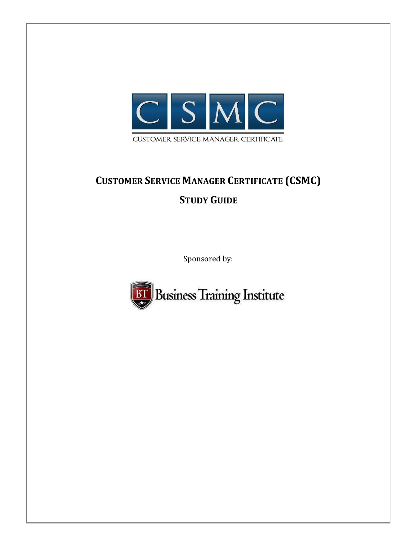

# **CUSTOMER SERVICE MANAGER CERTIFICATE (CSMC) STUDY GUIDE**

Sponsored by:

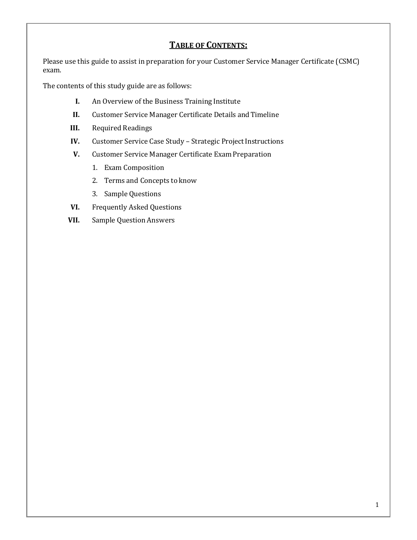# **TABLE OF CONTENTS:**

Please use this guide to assist in preparation for your Customer Service Manager Certificate (CSMC) exam.

The contents of this study guide are as follows:

- **I.** An Overview of the Business Training Institute
- **II.** Customer Service Manager Certificate Details and Timeline
- **III.** Required Readings
- **IV.** Customer Service Case Study Strategic Project Instructions
- **V.** Customer Service Manager Certificate Exam Preparation
	- 1. Exam Composition
	- 2. Terms and Concepts to know
	- 3. Sample Questions
- **VI.** Frequently Asked Questions
- **VII.** Sample Question Answers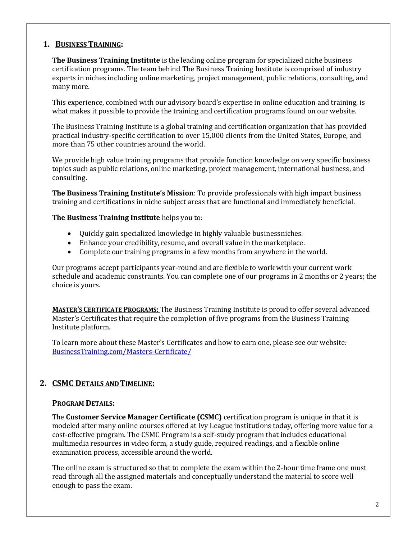### **1. BUSINESSTRAINING:**

**The Business Training Institute** is the leading online program for specialized niche business certification programs. The team behind The Business Training Institute is comprised of industry experts in niches including online marketing, project management, public relations, consulting, and many more.

This experience, combined with our advisory board's expertise in online education and training, is what makes it possible to provide the training and certification programs found on our website.

The Business Training Institute is a global training and certification organization that has provided practical industry-specific certification to over 15,000 clients from the United States, Europe, and more than 75 other countries around the world.

We provide high value training programs that provide function knowledge on very specific business topics such as public relations, online marketing, project management, international business, and consulting.

**The Business Training Institute's Mission**: To provide professionals with high impact business training and certifications in niche subject areas that are functional and immediately beneficial.

**The Business Training Institute** helps you to:

- Quickly gain specialized knowledge in highly valuable businessniches.
- Enhance your credibility, resume, and overall value in the marketplace.
- Complete our training programs in a few months from anywhere in theworld.

Our programs accept participants year-round and are flexible to work with your current work schedule and academic constraints. You can complete one of our programs in 2 months or 2 years; the choice is yours.

**MASTER'S CERTIFICATE PROGRAMS:** The Business Training Institute is proud to offer several advanced Master's Certificates that require the completion of five programs from the Business Training Institute platform.

To learn more about these Master's Certificates and how to earn one, please see our website: [BusinessTraining.com/Masters-Certificate/](http://businesstraining.com/Masters-Certificate.html)

### **2. CSMC DETAILS ANDTIMELINE:**

#### **PROGRAM DETAILS:**

The **Customer Service Manager Certificate (CSMC)** certification program is unique in that it is modeled after many online courses offered at Ivy League institutions today, offering more value for a cost-effective program. The CSMC Program is a self-study program that includes educational multimedia resources in video form, a study guide, required readings, and a flexible online examination process, accessible around the world.

The online exam is structured so that to complete the exam within the 2-hour time frame one must read through all the assigned materials and conceptually understand the material to score well enough to pass the exam.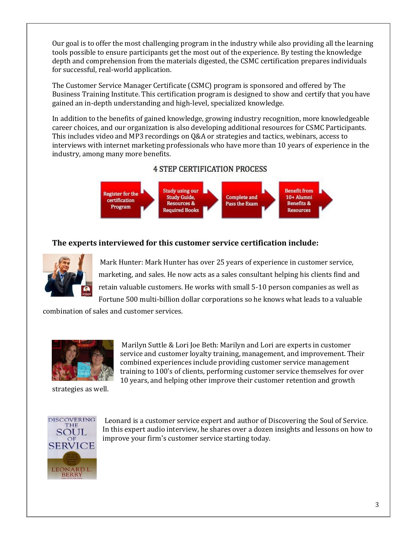Our goal is to offer the most challenging program in the industry while also providing all the learning tools possible to ensure participants get the most out of the experience. By testing the knowledge depth and comprehension from the materials digested, the CSMC certification prepares individuals for successful, real-world application.

The Customer Service Manager Certificate (CSMC) program is sponsored and offered by The Business Training Institute. This certification program is designed to show and certify that you have gained an in-depth understanding and high-level, specialized knowledge.

In addition to the benefits of gained knowledge, growing industry recognition, more knowledgeable career choices, and our organization is also developing additional resources for CSMC Participants. This includes video and MP3 recordings on Q&A or strategies and tactics, webinars, access to interviews with internet marketing professionals who have more than 10 years of experience in the industry, among many more benefits.

# **4 STEP CERTIFICATION PROCESS**



# **The experts interviewed for this customer service certification include:**



Mark Hunter: Mark Hunter has over 25 years of experience in customer service, marketing, and sales. He now acts as a sales consultant helping his clients find and retain valuable customers. He works with small 5-10 person companies as well as Fortune 500 multi-billion dollar corporations so he knows what leads to a valuable

combination of sales and customer services.



Marilyn Suttle & Lori Joe Beth: Marilyn and Lori are experts in customer service and customer loyalty training, management, and improvement. Their combined experiences include providing customer service management training to 100's of clients, performing customer service themselves for over 10 years, and helping other improve their customer retention and growth

strategies as well.



Leonard is a customer service expert and author of Discovering the Soul of Service. In this expert audio interview, he shares over a dozen insights and lessons on how to improve your firm's customer service starting today.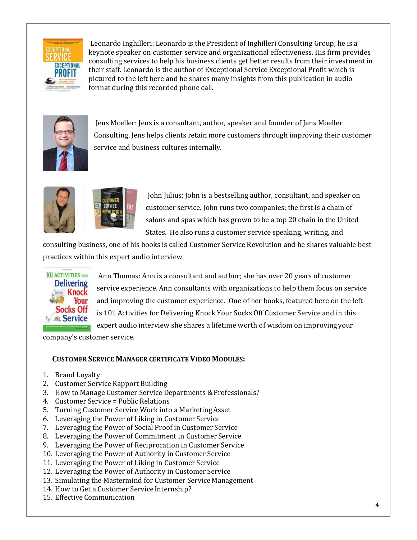

Leonardo Inghilleri: Leonardo is the President of Inghilleri Consulting Group; he is a keynote speaker on customer service and organizational effectiveness. His firm provides consulting services to help his business clients get better results from their investment in their staff. Leonardo is the author of Exceptional Service Exceptional Profit which is pictured to the left here and he shares many insights from this publication in audio format during this recorded phone call.



Jens Moeller: Jens is a consultant, author, speaker and founder of Jens Moeller Consulting. Jens helps clients retain more customers through improving their customer service and business cultures internally.





John Julius: John is a bestselling author, consultant, and speaker on customer service. John runs two companies; the first is a chain of salons and spas which has grown to be a top 20 chain in the United States. He also runs a customer service speaking, writing, and

consulting business, one of his books is called Customer Service Revolution and he shares valuable best practices within this expert audio interview



Ann Thomas: Ann is a consultant and author; she has over 20 years of customer service experience. Ann consultants with organizations to help them focus on service and improving the customer experience. One of her books, featured here on the left is 101 Activities for Delivering Knock Your Socks Off Customer Service and in this expert audio interview she shares a lifetime worth of wisdom on improving your

company's customer service.

### **CUSTOMER SERVICE MANAGER CERTIFICATE VIDEO MODULES:**

- 1. Brand Loyalty
- 2. Customer Service Rapport Building
- 3. How to Manage Customer Service Departments & Professionals?
- 4. Customer Service = Public Relations
- 5. Turning Customer Service Work into a MarketingAsset
- 6. Leveraging the Power of Liking in Customer Service
- 7. Leveraging the Power of Social Proof in Customer Service
- 8. Leveraging the Power of Commitment in Customer Service
- 9. Leveraging the Power of Reciprocation in Customer Service
- 10. Leveraging the Power of Authority in Customer Service
- 11. Leveraging the Power of Liking in Customer Service
- 12. Leveraging the Power of Authority in Customer Service
- 13. Simulating the Mastermind for Customer Service Management
- 14. How to Get a Customer Service Internship?
- 15. Effective Communication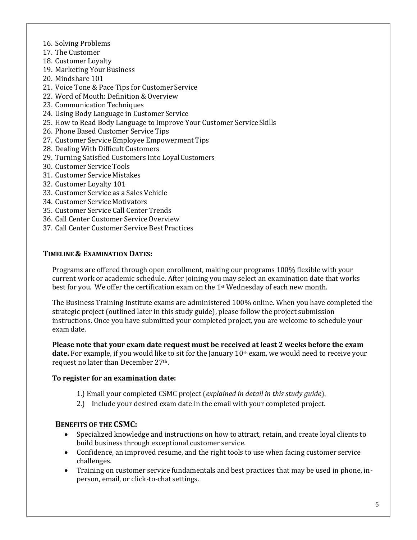- 16. Solving Problems
- 17. The Customer
- 18. Customer Loyalty
- 19. Marketing Your Business
- 20. Mindshare 101
- 21. Voice Tone & Pace Tips for Customer Service
- 22. Word of Mouth: Definition & Overview
- 23. Communication Techniques
- 24. Using Body Language in Customer Service
- 25. How to Read Body Language to Improve Your Customer Service Skills
- 26. Phone Based Customer Service Tips
- 27. Customer Service Employee Empowerment Tips
- 28. Dealing With Difficult Customers
- 29. Turning Satisfied Customers Into Loyal Customers
- 30. Customer Service Tools
- 31. Customer Service Mistakes
- 32. Customer Loyalty 101
- 33. Customer Service as a Sales Vehicle
- 34. Customer Service Motivators
- 35. Customer Service Call Center Trends
- 36. Call Center Customer ServiceOverview
- 37. Call Center Customer Service Best Practices

#### **TIMELINE & EXAMINATION DATES:**

Programs are offered through open enrollment, making our programs 100% flexible with your current work or academic schedule. After joining you may select an examination date that works best for you. We offer the certification exam on the 1st Wednesday of each new month.

The Business Training Institute exams are administered 100% online. When you have completed the strategic project (outlined later in this study guide), please follow the project submission instructions. Once you have submitted your completed project, you are welcome to schedule your exam date.

**Please note that your exam date request must be received at least 2 weeks before the exam date.** For example, if you would like to sit for the January 10th exam, we would need to receive your request no later than December 27th.

#### **To register for an examination date:**

- 1.) Email your completed CSMC project (*explained in detail in this study guide*).
- 2.) Include your desired exam date in the email with your completed project.

#### **BENEFITS OF THE CSMC:**

- Specialized knowledge and instructions on how to attract, retain, and create loyal clients to build business through exceptional customer service.
- Confidence, an improved resume, and the right tools to use when facing customer service challenges.
- Training on customer service fundamentals and best practices that may be used in phone, inperson, email, or click-to-chat settings.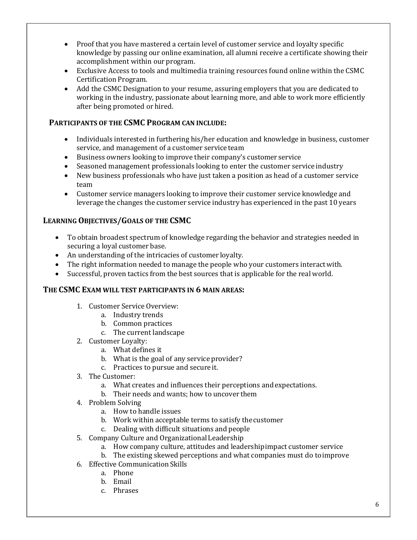- Proof that you have mastered a certain level of customer service and loyalty specific knowledge by passing our online examination, all alumni receive a certificate showing their accomplishment within our program.
- Exclusive Access to tools and multimedia training resources found online within the CSMC Certification Program.
- Add the CSMC Designation to your resume, assuring employers that you are dedicated to working in the industry, passionate about learning more, and able to work more efficiently after being promoted or hired.

### **PARTICIPANTS OF THE CSMC PROGRAM CAN INCLUDE:**

- Individuals interested in furthering his/her education and knowledge in business, customer service, and management of a customer service team
- Business owners looking to improve their company's customer service
- Seasoned management professionals looking to enter the customer serviceindustry
- New business professionals who have just taken a position as head of a customer service team
- Customer service managers looking to improve their customer service knowledge and leverage the changes the customer service industry has experienced in the past 10 years

### **LEARNING OBJECTIVES/GOALS OF THE CSMC**

- To obtain broadest spectrum of knowledge regarding the behavior and strategies needed in securing a loyal customer base.
- An understanding of the intricacies of customer loyalty.
- The right information needed to manage the people who your customers interactwith.
- Successful, proven tactics from the best sources that is applicable for the real world.

#### **THE CSMC EXAM WILL TEST PARTICIPANTS IN 6 MAIN AREAS:**

- 1. Customer Service Overview:
	- a. Industry trends
	- b. Common practices
	- c. The current landscape
- 2. Customer Loyalty:
	- a. What defines it
	- b. What is the goal of any service provider?
	- c. Practices to pursue and secure it.
- 3. The Customer:
	- a. What creates and influences their perceptions andexpectations.
	- b. Their needs and wants; how to uncover them
- 4. Problem Solving
	- a. How to handle issues
	- b. Work within acceptable terms to satisfy thecustomer
	- c. Dealing with difficult situations andpeople
- 5. Company Culture and Organizational Leadership
	- a. How company culture, attitudes and leadershipimpact customer service
	- b. The existing skewed perceptions and what companies must do toimprove
- 6. Effective Communication Skills
	- a. Phone
	- b. Email
	- c. Phrases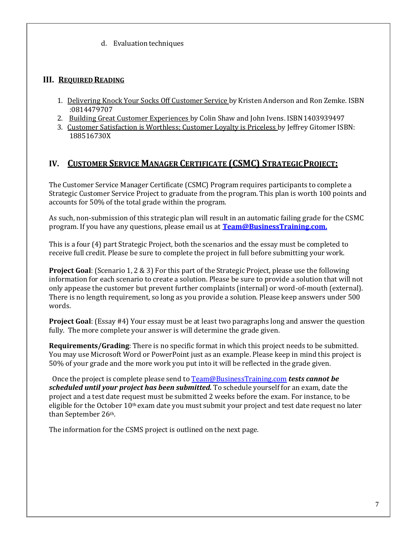d. Evaluation techniques

### **III. REQUIRED READING**

- 1. Delivering Knock Your Socks Off Customer Service by Kristen Anderson and Ron Zemke. ISBN :0814479707
- 2. Building Great Customer Experiences by Colin Shaw and John Ivens. ISBN1403939497
- 3. Customer Satisfaction is Worthless; Customer Loyalty is Priceless by Jeffrey Gitomer ISBN: 188516730X

# **IV. CUSTOMER SERVICE MANAGER CERTIFICATE (CSMC) STRATEGICPROJECT:**

The Customer Service Manager Certificate (CSMC) Program requires participants to complete a Strategic Customer Service Project to graduate from the program. This plan is worth 100 points and accounts for 50% of the total grade within the program.

As such, non-submission of this strategic plan will result in an automatic failing grade for the CSMC program. If you have any questions, please email us at **[Team@BusinessTraining.com.](mailto:Team@BusinessTraining.com.)**

This is a four (4) part Strategic Project, both the scenarios and the essay must be completed to receive full credit. Please be sure to complete the project in full before submitting your work.

**Project Goal**: (Scenario 1, 2 & 3) For this part of the Strategic Project, please use the following information for each scenario to create a solution. Please be sure to provide a solution that will not only appease the customer but prevent further complaints (internal) or word-of-mouth (external). There is no length requirement, so long as you provide a solution. Please keep answers under 500 words.

**Project Goal**: (Essay #4) Your essay must be at least two paragraphs long and answer the question fully. The more complete your answer is will determine the grade given.

**Requirements/Grading**: There is no specific format in which this project needs to be submitted. You may use Microsoft Word or PowerPoint just as an example. Please keep in mind this project is 50% of your grade and the more work you put into it will be reflected in the grade given.

Once the project is complete please send to [Team@BusinessTraining.com](mailto:Team@BusinessTraining.com) *tests cannot be scheduled until your project has been submitted.* To schedule yourself for an exam, date the project and a test date request must be submitted 2 weeks before the exam. For instance, to be eligible for the October 10th exam date you must submit your project and test date request no later than September 26th.

The information for the CSMS project is outlined on the next page.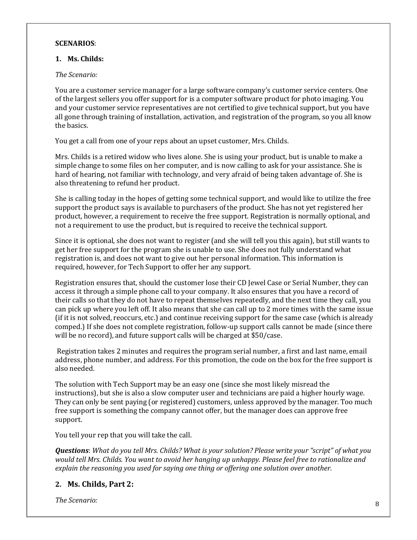#### **SCENARIOS**:

#### **1. Ms. Childs:**

#### *The Scenario:*

You are a customer service manager for a large software company's customer service centers. One of the largest sellers you offer support for is a computer software product for photo imaging. You and your customer service representatives are not certified to give technical support, but you have all gone through training of installation, activation, and registration of the program, so you all know the basics.

You get a call from one of your reps about an upset customer, Mrs. Childs.

Mrs. Childs is a retired widow who lives alone. She is using your product, but is unable to make a simple change to some files on her computer, and is now calling to ask for your assistance. She is hard of hearing, not familiar with technology, and very afraid of being taken advantage of. She is also threatening to refund her product.

She is calling today in the hopes of getting some technical support, and would like to utilize the free support the product says is available to purchasers of the product. She has not yet registered her product, however, a requirement to receive the free support. Registration is normally optional, and not a requirement to use the product, but is required to receive the technical support.

Since it is optional, she does not want to register (and she will tell you this again), but still wants to get her free support for the program she is unable to use. She does not fully understand what registration is, and does not want to give out her personal information. This information is required, however, for Tech Support to offer her any support.

Registration ensures that, should the customer lose their CD Jewel Case or Serial Number, they can access it through a simple phone call to your company. It also ensures that you have a record of their calls so that they do not have to repeat themselves repeatedly, and the next time they call, you can pick up where you left off. It also means that she can call up to 2 more times with the same issue (if it is not solved, reoccurs, etc.) and continue receiving support for the same case (which is already comped.) If she does not complete registration, follow-up support calls cannot be made (since there will be no record), and future support calls will be charged at \$50/case.

Registration takes 2 minutes and requires the program serial number, a first and last name, email address, phone number, and address. For this promotion, the code on the box for the free support is also needed.

The solution with Tech Support may be an easy one (since she most likely misread the instructions), but she is also a slow computer user and technicians are paid a higher hourly wage. They can only be sent paying (or registered) customers, unless approved by the manager. Too much free support is something the company cannot offer, but the manager does can approve free support.

You tell your rep that you will take the call.

*Questions*: *What do you tell Mrs. Childs? What is your solution? Please write your "script" of what you would tell Mrs. Childs. You want to avoid her hanging up unhappy. Please feel free to rationalize and explain the reasoning you used for saying one thing or offering one solution over another.*

### **2. Ms. Childs, Part 2:**

*The Scenario:* <sup>8</sup>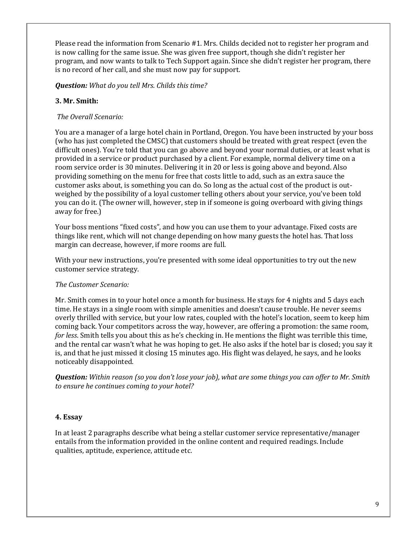Please read the information from Scenario #1. Mrs. Childs decided not to register her program and is now calling for the same issue. She was given free support, though she didn't register her program, and now wants to talk to Tech Support again. Since she didn't register her program, there is no record of her call, and she must now pay for support.

#### *Question: What do you tell Mrs. Childs this time?*

#### **3. Mr. Smith:**

#### *The Overall Scenario:*

You are a manager of a large hotel chain in Portland, Oregon. You have been instructed by your boss (who has just completed the CMSC) that customers should be treated with great respect (even the difficult ones). You're told that you can go above and beyond your normal duties, or at least what is provided in a service or product purchased by a client. For example, normal delivery time on a room service order is 30 minutes. Delivering it in 20 or less is going above and beyond. Also providing something on the menu for free that costs little to add, such as an extra sauce the customer asks about, is something you can do. So long as the actual cost of the product is outweighed by the possibility of a loyal customer telling others about your service, you've been told you can do it. (The owner will, however, step in if someone is going overboard with giving things away for free.)

Your boss mentions "fixed costs", and how you can use them to your advantage. Fixed costs are things like rent, which will not change depending on how many guests the hotel has. That loss margin can decrease, however, if more rooms are full.

With your new instructions, you're presented with some ideal opportunities to try out the new customer service strategy.

#### *The Customer Scenario:*

Mr. Smith comes in to your hotel once a month for business. He stays for 4 nights and 5 days each time. He stays in a single room with simple amenities and doesn't cause trouble. He never seems overly thrilled with service, but your low rates, coupled with the hotel's location, seem to keep him coming back. Your competitors across the way, however, are offering a promotion: the same room, *for less*. Smith tells you about this as he's checking in. He mentions the flight was terrible this time, and the rental car wasn't what he was hoping to get. He also asks if the hotel bar is closed; you say it is, and that he just missed it closing 15 minutes ago. His flight was delayed, he says, and he looks noticeably disappointed.

*Question: Within reason (so you don't lose your job), what are some things you can offer to Mr. Smith to ensure he continues coming to your hotel?*

#### **4. Essay**

In at least 2 paragraphs describe what being a stellar customer service representative/manager entails from the information provided in the online content and required readings. Include qualities, aptitude, experience, attitude etc.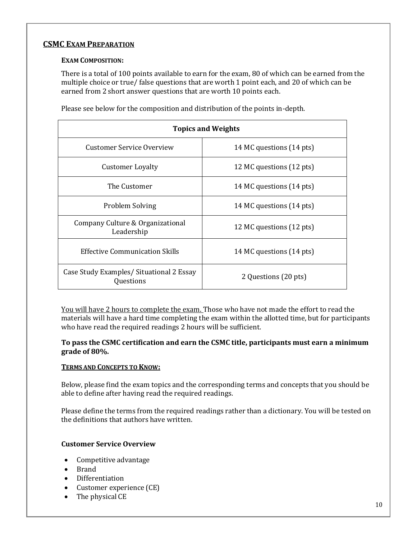### **CSMC EXAM PREPARATION**

#### **EXAM COMPOSITION:**

There is a total of 100 points available to earn for the exam, 80 of which can be earned from the multiple choice or true/ false questions that are worth 1 point each, and 20 of which can be earned from 2 short answer questions that are worth 10 points each.

| <b>Topics and Weights</b>                             |                          |
|-------------------------------------------------------|--------------------------|
| Customer Service Overview                             | 14 MC questions (14 pts) |
| <b>Customer Loyalty</b>                               | 12 MC questions (12 pts) |
| The Customer                                          | 14 MC questions (14 pts) |
| Problem Solving                                       | 14 MC questions (14 pts) |
| Company Culture & Organizational<br>Leadership        | 12 MC questions (12 pts) |
| <b>Effective Communication Skills</b>                 | 14 MC questions (14 pts) |
| Case Study Examples/ Situational 2 Essay<br>Questions | 2 Questions (20 pts)     |

Please see below for the composition and distribution of the points in-depth.

You will have 2 hours to complete the exam. Those who have not made the effort to read the materials will have a hard time completing the exam within the allotted time, but for participants who have read the required readings 2 hours will be sufficient.

#### **To pass the CSMC certification and earn the CSMC title, participants must earn a minimum grade of 80%.**

#### **TERMS AND CONCEPTS TO KNOW:**

Below, please find the exam topics and the corresponding terms and concepts that you should be able to define after having read the required readings.

Please define the terms from the required readings rather than a dictionary. You will be tested on the definitions that authors have written.

#### **Customer Service Overview**

- Competitive advantage
- Brand
- Differentiation
- Customer experience (CE)
- $\bullet$  The physical CE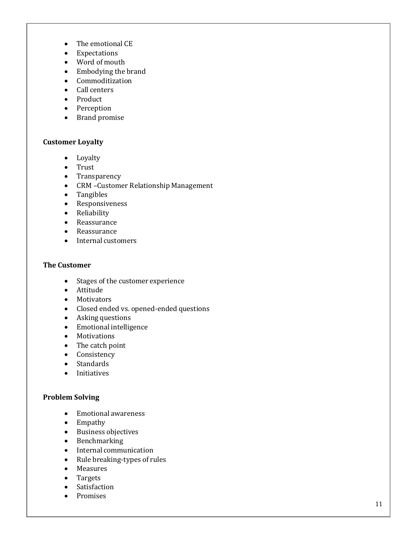- The emotional CE
- Expectations
- Word of mouth
- Embodying the brand
- Commoditization
- Call centers
- Product
- Perception
- Brand promise

#### **Customer Loyalty**

- Loyalty
- Trust
- Transparency
- CRM –Customer Relationship Management
- Tangibles
- Responsiveness
- Reliability
- Reassurance
- Reassurance
- Internal customers

#### **The Customer**

- Stages of the customer experience
- Attitude
- Motivators
- Closed ended vs. opened-ended questions
- Asking questions
- Emotional intelligence
- Motivations
- The catch point
- Consistency
- Standards
- **•** Initiatives

#### **Problem Solving**

- Emotional awareness
- Empathy
- Business objectives
- Benchmarking
- Internal communication
- Rule breaking-types of rules
- Measures
- Targets
- Satisfaction
- Promises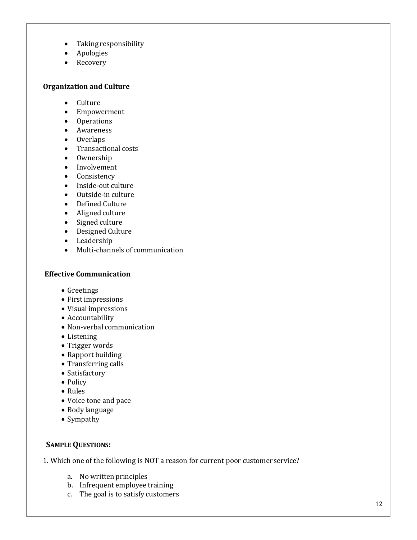- Taking responsibility
- Apologies
- Recovery

#### **Organization and Culture**

- Culture
- Empowerment
- Operations
- Awareness
- Overlaps
- Transactional costs
- Ownership
- Involvement
- Consistency
- Inside-out culture
- Outside-in culture
- Defined Culture
- Aligned culture
- Signed culture
- Designed Culture
- Leadership
- Multi-channels of communication

#### **Effective Communication**

- Greetings
- First impressions
- Visual impressions
- Accountability
- Non-verbal communication
- Listening
- Trigger words
- Rapport building
- Transferring calls
- Satisfactory
- Policy
- Rules
- Voice tone and pace
- Body language
- Sympathy

#### **SAMPLE QUESTIONS:**

1. Which one of the following is NOT a reason for current poor customer service?

- a. No written principles
- b. Infrequent employee training
- c. The goal is to satisfy customers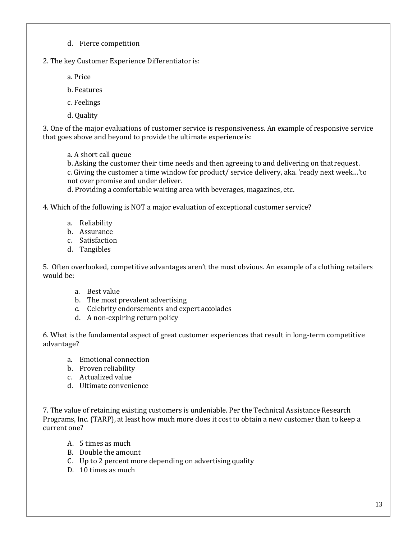d. Fierce competition

2. The key Customer Experience Differentiator is:

a. Price

b. Features

c. Feelings

d. Quality

3. One of the major evaluations of customer service is responsiveness. An example of responsive service that goes above and beyond to provide the ultimate experienceis:

a. A short call queue

b. Asking the customer their time needs and then agreeing to and delivering on thatrequest.

c. Giving the customer a time window for product/ service delivery, aka. 'ready next week…'to not over promise and under deliver.

d. Providing a comfortable waiting area with beverages, magazines, etc.

4. Which of the following is NOT a major evaluation of exceptional customer service?

- a. Reliability
- b. Assurance
- c. Satisfaction
- d. Tangibles

5. Often overlooked, competitive advantages aren't the most obvious. An example of a clothing retailers would be:

- a. Best value
- b. The most prevalent advertising
- c. Celebrity endorsements and expert accolades
- d. A non-expiring return policy

6. What is the fundamental aspect of great customer experiences that result in long-term competitive advantage?

- a. Emotional connection
- b. Proven reliability
- c. Actualized value
- d. Ultimate convenience

7. The value of retaining existing customers is undeniable. Per the Technical Assistance Research Programs, Inc. (TARP), at least how much more does it cost to obtain a new customer than to keep a current one?

- A. 5 times as much
- B. Double the amount
- C. Up to 2 percent more depending on advertising quality
- D. 10 times as much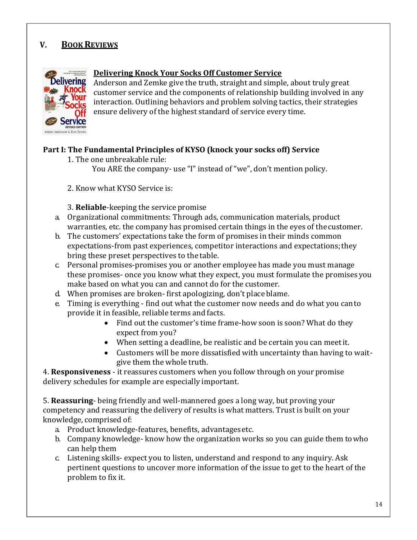# **V. BOOK REVIEWS**



### **Delivering Knock Your Socks Off Customer Service**

Anderson and Zemke give the truth, straight and simple, about truly great customer service and the components of relationship building involved in any interaction. Outlining behaviors and problem solving tactics, their strategies ensure delivery of the highest standard of service every time.

# **Part I: The Fundamental Principles of KYSO (knock your socks off) Service**

1. The one unbreakable rule:

You ARE the company- use "I" instead of "we", don't mention policy.

2. Know what KYSO Service is:

3. **Reliable**-keeping the service promise

- a. Organizational commitments: Through ads, communication materials, product warranties, etc. the company has promised certain things in the eyes of thecustomer.
- b. The customers' expectations take the form of promises in their minds common expectations-from past experiences, competitor interactions and expectations;they bring these preset perspectives to the table.
- c. Personal promises-promises you or another employee has made you must manage these promises- once you know what they expect, you must formulate the promises you make based on what you can and cannot do for the customer.
- d. When promises are broken- first apologizing, don't place blame.
- e. Timing is everything find out what the customer now needs and do what you canto provide it in feasible, reliable terms and facts.
	- Find out the customer's time frame-how soon is soon? What do they expect from you?
	- When setting a deadline, be realistic and be certain you can meetit.
	- Customers will be more dissatisfied with uncertainty than having to waitgive them the whole truth.

4. **Responsiveness** - it reassures customers when you follow through on your promise delivery schedules for example are especially important.

5. **Reassuring**- being friendly and well-mannered goes a long way, but proving your competency and reassuring the delivery of results is what matters. Trust is built on your knowledge, comprised of:

- a. Product knowledge-features, benefits, advantages etc.
- b. Company knowledge- know how the organization works so you can guide them towho can help them
- c. Listening skills- expect you to listen, understand and respond to any inquiry. Ask pertinent questions to uncover more information of the issue to get to the heart of the problem to fix it.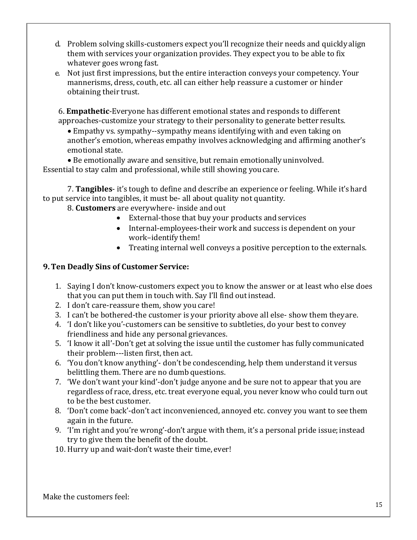- d. Problem solving skills-customers expect you'll recognize their needs and quickly align them with services your organization provides. They expect you to be able to fix whatever goes wrong fast.
- e. Not just first impressions, but the entire interaction conveys your competency. Your mannerisms, dress, couth, etc. all can either help reassure a customer or hinder obtaining their trust.

6. **Empathetic**-Everyone has different emotional states and responds to different approaches-customize your strategy to their personality to generate better results.

 Empathy vs. sympathy--sympathy means identifying with and even taking on another's emotion, whereas empathy involves acknowledging and affirming another's emotional state.

 Be emotionally aware and sensitive, but remain emotionally uninvolved. Essential to stay calm and professional, while still showing youcare.

7. **Tangibles**- it's tough to define and describe an experience or feeling. While it's hard to put service into tangibles, it must be- all about quality not quantity.

8. **Customers** are everywhere- inside and out

- External-those that buy your products and services
- Internal-employees-their work and success is dependent on your work–identify them!
- Treating internal well conveys a positive perception to the externals.

# **9.Ten Deadly Sins of Customer Service:**

- 1. Saying I don't know-customers expect you to know the answer or at least who else does that you can put them in touch with. Say I'll find outinstead.
- 2. I don't care-reassure them, show you care!
- 3. I can't be bothered-the customer is your priority above all else- show them theyare.
- 4. 'I don't like you'-customers can be sensitive to subtleties, do your best to convey friendliness and hide any personal grievances.
- 5. 'I know it all'-Don't get at solving the issue until the customer has fully communicated their problem---listen first, then act.
- 6. 'You don't know anything'- don't be condescending, help them understand it versus belittling them. There are no dumb questions.
- 7. 'We don't want your kind'-don't judge anyone and be sure not to appear that you are regardless of race, dress, etc. treat everyone equal, you never know who could turn out to be the best customer.
- 8. 'Don't come back'-don't act inconvenienced, annoyed etc. convey you want to see them again in the future.
- 9. 'I'm right and you're wrong'-don't argue with them, it's a personal pride issue; instead try to give them the benefit of the doubt.
- 10. Hurry up and wait-don't waste their time, ever!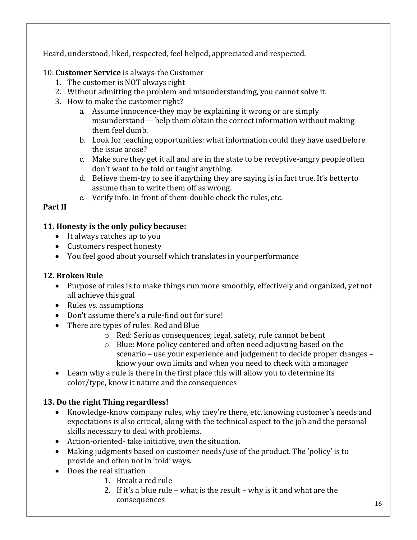Heard, understood, liked, respected, feel helped, appreciated and respected.

# 10. **Customer Service** is always-the Customer

- 1. The customer is NOT always right
- 2. Without admitting the problem and misunderstanding, you cannot solve it.
- 3. How to make the customer right?
	- a. Assume innocence-they may be explaining it wrong or are simply misunderstand— help them obtain the correct information without making them feel dumb.
	- b. Look for teaching opportunities: what information could they have usedbefore the issue arose?
	- c. Make sure they get it all and are in the state to be receptive-angry peopleoften don't want to be told or taught anything.
	- d. Believe them-try to see if anything they are saying is in fact true. It's betterto assume than to write them off as wrong.
	- e. Verify info. In front of them-double check the rules, etc.

# **Part II**

# **11. Honesty is the only policy because:**

- It always catches up to you
- Customers respect honesty
- You feel good about yourself which translates in your performance

# **12. Broken Rule**

- Purpose of rules is to make things run more smoothly, effectively and organized, yet not all achieve this goal
- Rules vs. assumptions
- Don't assume there's a rule-find out for sure!
- There are types of rules: Red and Blue
	- o Red: Serious consequences; legal, safety, rule cannot bebent
	- o Blue: More policy centered and often need adjusting based on the scenario – use your experience and judgement to decide proper changes – know your own limits and when you need to check with a manager
- Learn why a rule is there in the first place this will allow you to determine its color/type, know it nature and the consequences

# **13. Do the right Thing regardless!**

- Knowledge-know company rules, why they're there, etc. knowing customer's needs and expectations is also critical, along with the technical aspect to the job and the personal skills necessary to deal with problems.
- Action-oriented- take initiative, own the situation.
- Making judgments based on customer needs/use of the product. The 'policy' is to provide and often not in 'told' ways.
- Does the real situation
	- 1. Break a red rule
	- 2. If it's a blue rule what is the result why is it and what are the consequences <sup>16</sup>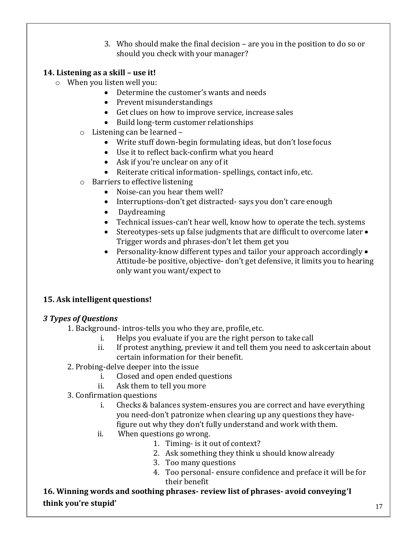3. Who should make the final decision – are you in the position to do so or should you check with your manager?

# **14. Listening as a skill – use it!**

- o When you listen well you:
	- Determine the customer's wants and needs
	- Prevent misunderstandings
	- Get clues on how to improve service, increase sales
	- Build long-term customer relationships
	- o Listening can be learned
		- Write stuff down-begin formulating ideas, but don't lose focus
		- Use it to reflect back-confirm what you heard
		- Ask if you're unclear on any of it
		- Reiterate critical information-spellings, contact info, etc.
	- o Barriers to effective listening
		- Noise-can you hear them well?
		- Interruptions-don't get distracted- says you don't care enough
		- Daydreaming
		- Technical issues-can't hear well, know how to operate the tech. systems
		- Stereotypes-sets up false judgments that are difficult to overcome later Trigger words and phrases-don't let them get you
		- Personality-know different types and tailor your approach accordingly Attitude-be positive, objective- don't get defensive, it limits you to hearing only want you want/expect to

# **15. Ask intelligent questions!**

# *3 Types of Questions*

- 1. Background- intros-tells you who they are, profile, etc.
	- i. Helps you evaluate if you are the right person to take call
	- ii. If protest anything, preview it and tell them you need to askcertain about certain information for their benefit.
- 2. Probing-delve deeper into the issue
	- i. Closed and open ended questions
	- ii. Ask them to tell you more
- 3. Confirmation questions
	- i. Checks & balances system-ensures you are correct and have everything you need-don't patronize when clearing up any questions they havefigure out why they don't fully understand and work with them.
	- ii. When questions go wrong.
		- 1. Timing- is it out of context?
		- 2. Ask something they think u should knowalready
		- 3. Too many questions
		- 4. Too personal- ensure confidence and preface it will be for their benefit

**16. Winning words and soothing phrases- review list of phrases- avoid conveying'I think you're stupid'** <sup>17</sup>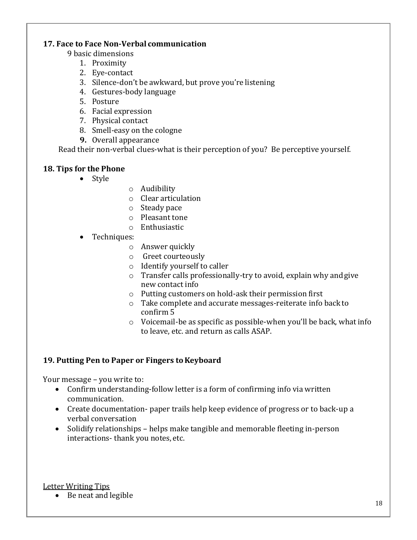### **17. Face to Face Non-Verbal communication**

- 9 basic dimensions
	- 1. Proximity
	- 2. Eye-contact
	- 3. Silence-don't be awkward, but prove you're listening
	- 4. Gestures-body language
	- 5. Posture
	- 6. Facial expression
	- 7. Physical contact
	- 8. Smell-easy on the cologne
	- **9.** Overall appearance

Read their non-verbal clues-what is their perception of you? Be perceptive yourself.

# **18. Tips for the Phone**

- Style
- o Audibility
- o Clear articulation
- o Steady pace
- o Pleasant tone
- o Enthusiastic
- Techniques:
	- o Answer quickly
	- o Greet courteously
	- o Identify yourself to caller
	- o Transfer calls professionally-try to avoid, explain why andgive new contact info
	- o Putting customers on hold-ask their permission first
	- o Take complete and accurate messages-reiterate info backto confirm 5
	- o Voicemail-be as specific as possible-when you'll be back, what info to leave, etc. and return as calls ASAP.

# 19. Putting Pen to Paper or Fingers to Keyboard

Your message – you write to:

- Confirm understanding-follow letter is a form of confirming info via written communication.
- Create documentation- paper trails help keep evidence of progress or to back-up a verbal conversation
- Solidify relationships helps make tangible and memorable fleeting in-person interactions- thank you notes, etc.

Letter Writing Tips

• Be neat and legible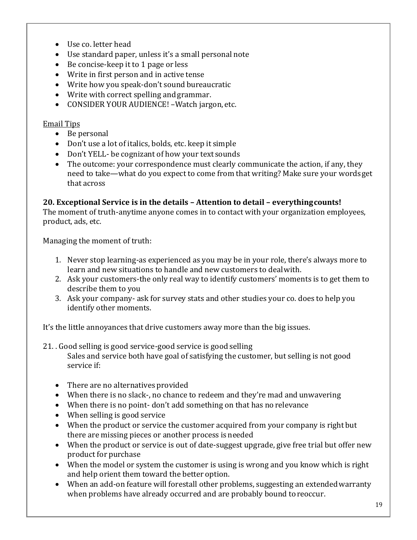- Use co. letter head
- Use standard paper, unless it's a small personal note
- Be concise-keep it to 1 page or less
- Write in first person and in active tense
- Write how you speak-don't sound bureaucratic
- Write with correct spelling and grammar.
- CONSIDER YOUR AUDIENCE! Watch jargon, etc.

### Email Tips

- Be personal
- Don't use a lot of italics, bolds, etc. keep it simple
- Don't YELL- be cognizant of how your text sounds
- The outcome: your correspondence must clearly communicate the action, if any, they need to take—what do you expect to come from that writing? Make sure your wordsget that across

# **20. Exceptional Service is in the details – Attention to detail – everythingcounts!**

The moment of truth-anytime anyone comes in to contact with your organization employees, product, ads, etc.

Managing the moment of truth:

- 1. Never stop learning-as experienced as you may be in your role, there's always more to learn and new situations to handle and new customers to dealwith.
- 2. Ask your customers-the only real way to identify customers' moments is to get them to describe them to you
- 3. Ask your company- ask for survey stats and other studies your co. does to help you identify other moments.

It's the little annoyances that drive customers away more than the big issues.

- 21. . Good selling is good service-good service is good selling Sales and service both have goal of satisfying the customer, but selling is not good service if:
	- There are no alternatives provided
	- When there is no slack-, no chance to redeem and they're mad and unwavering
	- When there is no point- don't add something on that has no relevance
	- When selling is good service
	- When the product or service the customer acquired from your company is right but there are missing pieces or another process is needed
	- When the product or service is out of date-suggest upgrade, give free trial but offer new product for purchase
	- When the model or system the customer is using is wrong and you know which is right and help orient them toward the better option.
	- When an add-on feature will forestall other problems, suggesting an extended warranty when problems have already occurred and are probably bound toreoccur.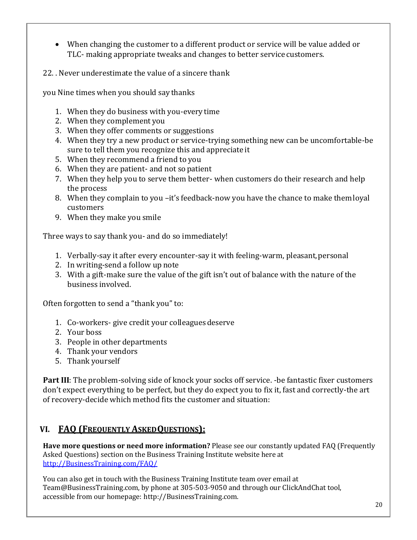- When changing the customer to a different product or service will be value added or TLC- making appropriate tweaks and changes to better service customers.
- 22. . Never underestimate the value of a sincere thank

you Nine times when you should say thanks

- 1. When they do business with you-every time
- 2. When they complement you
- 3. When they offer comments or suggestions
- 4. When they try a new product or service-trying something new can be uncomfortable-be sure to tell them you recognize this and appreciate it
- 5. When they recommend a friend to you
- 6. When they are patient- and not so patient
- 7. When they help you to serve them better- when customers do their research and help the process
- 8. When they complain to you –it's feedback-now you have the chance to make themloyal customers
- 9. When they make you smile

Three ways to say thank you- and do so immediately!

- 1. Verbally-say it after every encounter-say it with feeling-warm, pleasant,personal
- 2. In writing-send a follow up note
- 3. With a gift-make sure the value of the gift isn't out of balance with the nature of the business involved.

Often forgotten to send a "thank you" to:

- 1. Co-workers- give credit your colleagues deserve
- 2. Your boss
- 3. People in other departments
- 4. Thank your vendors
- 5. Thank yourself

**Part III**: The problem-solving side of knock your socks off service. -be fantastic fixer customers don't expect everything to be perfect, but they do expect you to fix it, fast and correctly-the art of recovery-decide which method fits the customer and situation:

# **VI. FAQ (FREQUENTLY ASKEDQUESTIONS):**

**Have more questions or need more information?** Please see our constantly updated FAQ (Frequently Asked Questions) section on the Business Training Institute website here at [http://BusinessTraining.com/FAQ/](http://businesstraining.com/FAQ/)

You can also get in touch with the Business Training Institute team over email at [Team@BusinessTraining.com,](mailto:Team@BusinessTraining.com) by phone at 305-503-9050 and through our ClickAndChat tool, accessible from our homepage: [http://BusinessTraining.com.](http://businesstraining.com/)